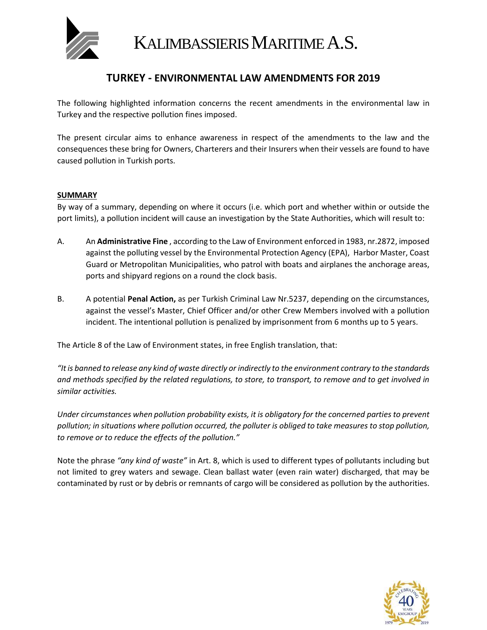

KALIMBASSIERIS MARITIME A.S.

### **TURKEY - ENVIRONMENTAL LAW AMENDMENTS FOR 2019**

The following highlighted information concerns the recent amendments in the environmental law in Turkey and the respective pollution fines imposed.

The present circular aims to enhance awareness in respect of the amendments to the law and the consequences these bring for Owners, Charterers and their Insurers when their vessels are found to have caused pollution in Turkish ports.

#### **SUMMARY**

By way of a summary, depending on where it occurs (i.e. which port and whether within or outside the port limits), a pollution incident will cause an investigation by the State Authorities, which will result to:

- Α. Αn **Administrative Fine** , according to the Law of Environment enforced in 1983, nr.2872, imposed against the polluting vessel by the Environmental Protection Agency (EPA), Harbor Master, Coast Guard or Metropolitan Municipalities, who patrol with boats and airplanes the anchorage areas, ports and shipyard regions on a round the clock basis.
- B. A potential **Penal Action,** as per Turkish Criminal Law Nr.5237, depending on the circumstances, against the vessel's Master, Chief Officer and/or other Crew Members involved with a pollution incident. The intentional pollution is penalized by imprisonment from 6 months up to 5 years.

The Article 8 of the Law of Environment states, in free English translation, that:

*"It is banned to release any kind of waste directly or indirectly to the environment contrary to the standards and methods specified by the related regulations, to store, to transport, to remove and to get involved in similar activities.*

*Under circumstances when pollution probability exists, it is obligatory for the concerned parties to prevent pollution; in situations where pollution occurred, the polluter is obliged to take measures to stop pollution, to remove or to reduce the effects of the pollution."*

Note the phrase *"any kind of waste"* in Art. 8, which is used to different types of pollutants including but not limited to grey waters and sewage. Clean ballast water (even rain water) discharged, that may be contaminated by rust or by debris or remnants of cargo will be considered as pollution by the authorities.

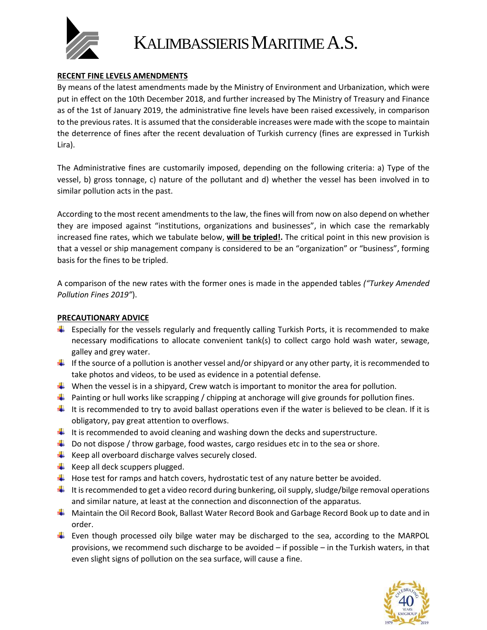

# KALIMBASSIERIS MARITIME A.S.

#### **RECENT FINE LEVELS AMENDMENTS**

By means of the latest amendments made by the Ministry of Environment and Urbanization, which were put in effect on the 10th December 2018, and further increased by The Ministry of Treasury and Finance as of the 1st of January 2019, the administrative fine levels have been raised excessively, in comparison to the previous rates. It is assumed that the considerable increases were made with the scope to maintain the deterrence of fines after the recent devaluation of Turkish currency (fines are expressed in Turkish Lira).

The Administrative fines are customarily imposed, depending on the following criteria: a) Type of the vessel, b) gross tonnage, c) nature of the pollutant and d) whether the vessel has been involved in to similar pollution acts in the past.

According to the most recent amendments to the law, the fines will from now on also depend on whether they are imposed against "institutions, organizations and businesses", in which case the remarkably increased fine rates, which we tabulate below, **will be tripled!.** The critical point in this new provision is that a vessel or ship management company is considered to be an "organization" or "business", forming basis for the fines to be tripled.

A comparison of the new rates with the former ones is made in the appended tables *("Turkey Amended Pollution Fines 2019"*).

#### **PRECAUTIONARY ADVICE**

- **Expecially for the vessels regularly and frequently calling Turkish Ports, it is recommended to make** necessary modifications to allocate convenient tank(s) to collect cargo hold wash water, sewage, galley and grey water.
- If the source of a pollution is another vessel and/or shipyard or any other party, it is recommended to take photos and videos, to be used as evidence in a potential defense.
- When the vessel is in a shipyard, Crew watch is important to monitor the area for pollution.
- $\ddot{\phantom{1}}$  Painting or hull works like scrapping / chipping at anchorage will give grounds for pollution fines.
- $\ddotplus$  It is recommended to try to avoid ballast operations even if the water is believed to be clean. If it is obligatory, pay great attention to overflows.
- It is recommended to avoid cleaning and washing down the decks and superstructure.
- $\ddot{\phantom{1}}$  Do not dispose / throw garbage, food wastes, cargo residues etc in to the sea or shore.
- $\frac{1}{\sqrt{2}}$  Keep all overboard discharge valves securely closed.
- $\leftarrow$  Keep all deck scuppers plugged.
- $\downarrow$  Hose test for ramps and hatch covers, hydrostatic test of any nature better be avoided.
- $\ddot{\phantom{1}}$  It is recommended to get a video record during bunkering, oil supply, sludge/bilge removal operations and similar nature, at least at the connection and disconnection of the apparatus.
- Maintain the Oil Record Book, Ballast Water Record Book and Garbage Record Book up to date and in order.
- $\ddot{\phantom{1}}$  Even though processed oily bilge water may be discharged to the sea, according to the MARPOL provisions, we recommend such discharge to be avoided – if possible – in the Turkish waters, in that even slight signs of pollution on the sea surface, will cause a fine.